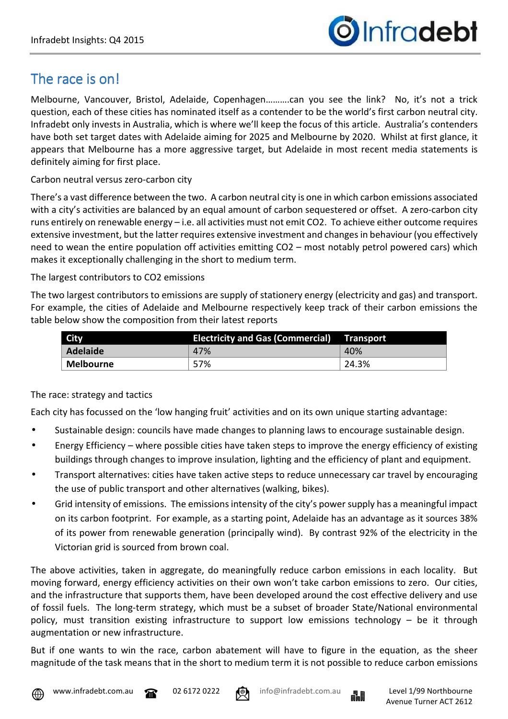

## The race is on!

Melbourne, Vancouver, Bristol, Adelaide, Copenhagen……….can you see the link? No, it's not a trick question, each of these cities has nominated itself as a contender to be the world's first carbon neutral city. Infradebt only invests in Australia, which is where we'll keep the focus of this article. Australia's contenders have both set target dates with Adelaide aiming for 2025 and Melbourne by 2020. Whilst at first glance, it appears that Melbourne has a more aggressive target, but Adelaide in most recent media statements is definitely aiming for first place.

## Carbon neutral versus zero-carbon city

There's a vast difference between the two. A carbon neutral city is one in which carbon emissions associated with a city's activities are balanced by an equal amount of carbon sequestered or offset. A zero-carbon city runs entirely on renewable energy – i.e. all activities must not emit CO2. To achieve either outcome requires extensive investment, but the latter requires extensive investment and changes in behaviour (you effectively need to wean the entire population off activities emitting CO2 – most notably petrol powered cars) which makes it exceptionally challenging in the short to medium term.

## The largest contributors to CO2 emissions

The two largest contributors to emissions are supply of stationery energy (electricity and gas) and transport. For example, the cities of Adelaide and Melbourne respectively keep track of their carbon emissions the table below show the composition from their latest reports

| <b>City</b>            | <b>Electricity and Gas (Commercial)</b> | <b>Transport</b> |
|------------------------|-----------------------------------------|------------------|
| Adelaide               | 47%                                     | 40%              |
| <sup>I</sup> Melbourne | 57%                                     | 24.3%            |

## The race: strategy and tactics

Each city has focussed on the 'low hanging fruit' activities and on its own unique starting advantage:

- Sustainable design: councils have made changes to planning laws to encourage sustainable design.
- Energy Efficiency where possible cities have taken steps to improve the energy efficiency of existing buildings through changes to improve insulation, lighting and the efficiency of plant and equipment.
- Transport alternatives: cities have taken active steps to reduce unnecessary car travel by encouraging the use of public transport and other alternatives (walking, bikes).
- Grid intensity of emissions. The emissions intensity of the city's power supply has a meaningful impact on its carbon footprint. For example, as a starting point, Adelaide has an advantage as it sources 38% of its power from renewable generation (principally wind). By contrast 92% of the electricity in the Victorian grid is sourced from brown coal.

The above activities, taken in aggregate, do meaningfully reduce carbon emissions in each locality. But moving forward, energy efficiency activities on their own won't take carbon emissions to zero. Our cities, and the infrastructure that supports them, have been developed around the cost effective delivery and use of fossil fuels. The long-term strategy, which must be a subset of broader State/National environmental policy, must transition existing infrastructure to support low emissions technology – be it through augmentation or new infrastructure.

But if one wants to win the race, carbon abatement will have to figure in the equation, as the sheer magnitude of the task means that in the short to medium term it is not possible to reduce carbon emissions